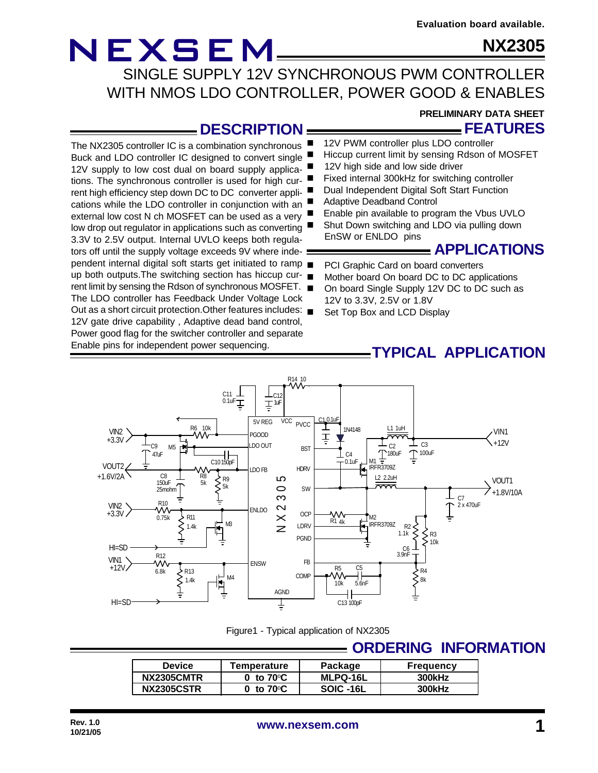### **NX2305**

NEXSEM SINGLE SUPPLY 12V SYNCHRONOUS PWM CONTROLLER WITH NMOS LDO CONTROLLER, POWER GOOD & ENABLES

### **DESCRIPTION**

The NX2305 controller IC is a combination synchronous Buck and LDO controller IC designed to convert single 12V supply to low cost dual on board supply applications. The synchronous controller is used for high current high efficiency step down DC to DC converter applications while the LDO controller in conjunction with an external low cost N ch MOSFET can be used as a very low drop out regulator in applications such as converting 3.3V to 2.5V output. Internal UVLO keeps both regulators off until the supply voltage exceeds 9V where independent internal digital soft starts get initiated to ramp up both outputs.The switching section has hiccup current limit by sensing the Rdson of synchronous MOSFET. The LDO controller has Feedback Under Voltage Lock Out as a short circuit protection.Other features includes: 12V gate drive capability , Adaptive dead band control, Power good flag for the switcher controller and separate Enable pins for independent power sequencing.

### **PRELIMINARY DATA SHEET**

**FEATURES**

- 12V PWM controller plus LDO controller
- Hiccup current limit by sensing Rdson of MOSFET
- 12V high side and low side driver
- Fixed internal 300kHz for switching controller
- Dual Independent Digital Soft Start Function
	- Adaptive Deadband Control
- Enable pin available to program the Vbus UVLO
- Shut Down switching and LDO via pulling down EnSW or ENLDO pins

### **APPLICATIONS**

- PCI Graphic Card on board converters
- Mother board On board DC to DC applications
- On board Single Supply 12V DC to DC such as 12V to 3.3V, 2.5V or 1.8V
- Set Top Box and LCD Display

### **TYPICAL APPLICATION**



Figure1 - Typical application of NX2305

### **ORDERING INFORMATION**

| <b>Device</b>     | Temperature         | Package         | <b>Frequency</b> |
|-------------------|---------------------|-----------------|------------------|
| <b>NX2305CMTR</b> | 0 to $70^{\circ}$ C | <b>MLPQ-16L</b> | 300kHz           |
| <b>NX2305CSTR</b> | 0 to $70^{\circ}$ C | SOIC -16L       | 300kHz           |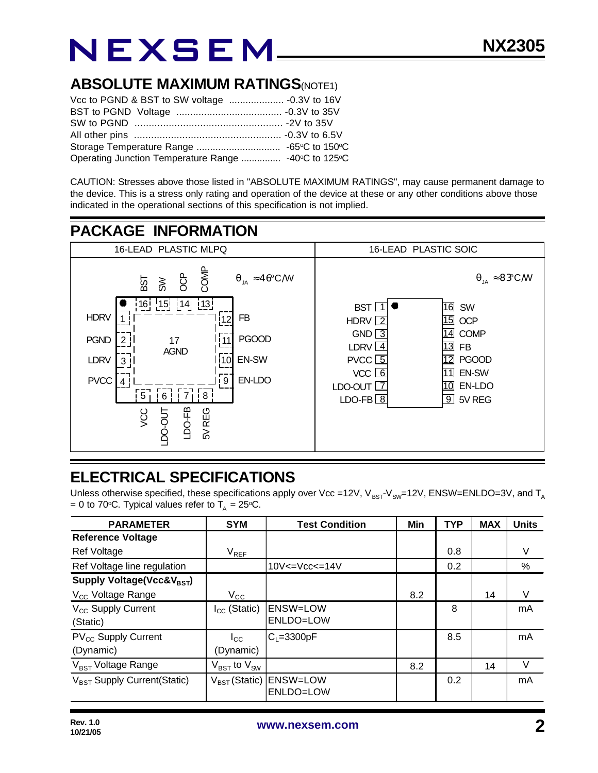### **ABSOLUTE MAXIMUM RATINGS(NOTE1)**

| Operating Junction Temperature Range  -40°C to 125°C |  |
|------------------------------------------------------|--|

CAUTION: Stresses above those listed in "ABSOLUTE MAXIMUM RATINGS", may cause permanent damage to the device. This is a stress only rating and operation of the device at these or any other conditions above those indicated in the operational sections of this specification is not implied.



### **ELECTRICAL SPECIFICATIONS**

Unless otherwise specified, these specifications apply over Vcc =12V,  $V_{BST}V_{SW}=12V$ , ENSW=ENLDO=3V, and T<sub>A</sub> = 0 to 70°C. Typical values refer to  $T_A = 25$ °C.

| <b>PARAMETER</b>                             | <b>SYM</b>                          | <b>Test Condition</b>                           | Min | <b>TYP</b> | <b>MAX</b> | <b>Units</b> |
|----------------------------------------------|-------------------------------------|-------------------------------------------------|-----|------------|------------|--------------|
| <b>Reference Voltage</b>                     |                                     |                                                 |     |            |            |              |
| Ref Voltage                                  | $\rm V_{REF}$                       |                                                 |     | 0.8        |            | V            |
| Ref Voltage line regulation                  |                                     | $10V < = Vcc < = 14V$                           |     | 0.2        |            | $\%$         |
| Supply Voltage(Vcc&V <sub>BST</sub> )        |                                     |                                                 |     |            |            |              |
| V <sub>cc</sub> Voltage Range                | $V_{\rm CC}$                        |                                                 | 8.2 |            | 14         | V            |
| V <sub>CC</sub> Supply Current<br>(Static)   | $I_{CC}$ (Static)                   | <b>ENSW=LOW</b><br>ENLDO=LOW                    |     | 8          |            | mA           |
| PV <sub>CC</sub> Supply Current<br>(Dynamic) | $_{\rm lcc}$<br>(Dynamic)           | $C_1 = 3300pF$                                  |     | 8.5        |            | mA           |
| V <sub>BST</sub> Voltage Range               | $V_{\text{BST}}$ to $V_{\text{SW}}$ |                                                 | 8.2 |            | 14         | V            |
| V <sub>BST</sub> Supply Current(Static)      |                                     | V <sub>BST</sub> (Static) ENSW=LOW<br>ENLDO=LOW |     | 0.2        |            | mA           |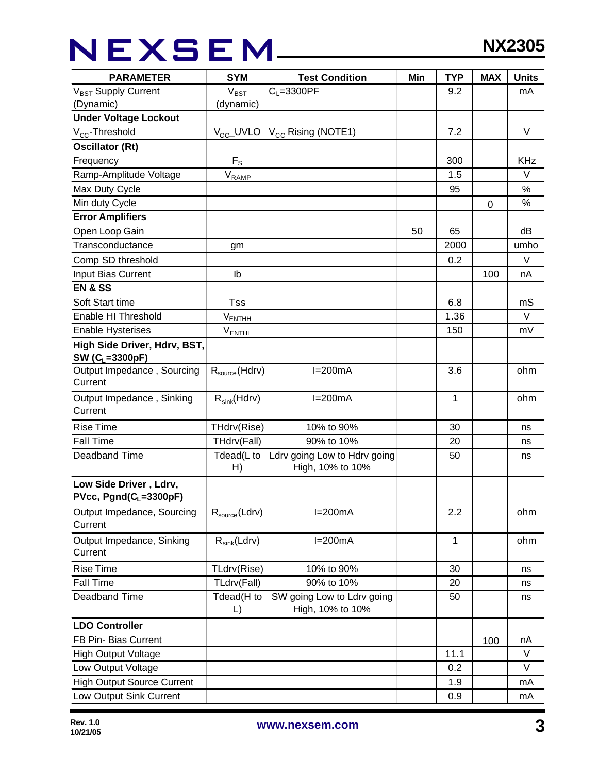## NEXSEM\_\_\_\_

| <b>PARAMETER</b>                                      | <b>SYM</b>                                     | <b>Test Condition</b>                          | Min | <b>TYP</b> | <b>MAX</b> | <b>Units</b> |
|-------------------------------------------------------|------------------------------------------------|------------------------------------------------|-----|------------|------------|--------------|
| V <sub>BST</sub> Supply Current                       | $V_{\text{BST}}$                               | $C_L = 3300$ PF                                |     | 9.2        |            | mA           |
| (Dynamic)                                             | (dynamic)                                      |                                                |     |            |            |              |
| <b>Under Voltage Lockout</b>                          |                                                |                                                |     |            |            |              |
| $V_{CC}$ -Threshold                                   | $V_{CC}$ _UVLO                                 | $V_{\text{cc}}$ Rising (NOTE1)                 |     | 7.2        |            | V            |
| <b>Oscillator (Rt)</b>                                |                                                |                                                |     |            |            |              |
| Frequency                                             | $F_{\rm S}$                                    |                                                |     | 300        |            | <b>KHz</b>   |
| Ramp-Amplitude Voltage                                | $V_{R\underline{A}\underline{M}\underline{P}}$ |                                                |     | 1.5        |            | $\vee$       |
| Max Duty Cycle                                        |                                                |                                                |     | 95         |            | $\%$         |
| Min duty Cycle                                        |                                                |                                                |     |            | 0          | %            |
| <b>Error Amplifiers</b>                               |                                                |                                                |     |            |            |              |
| Open Loop Gain                                        |                                                |                                                | 50  | 65         |            | dB           |
| Transconductance                                      | gm                                             |                                                |     | 2000       |            | umho         |
| Comp SD threshold                                     |                                                |                                                |     | 0.2        |            | $\vee$       |
| Input Bias Current                                    | Ib                                             |                                                |     |            | 100        | nA           |
| <b>EN &amp; SS</b>                                    |                                                |                                                |     |            |            |              |
| Soft Start time                                       | Tss                                            |                                                |     | 6.8        |            | mS           |
| Enable HI Threshold                                   | $V_{ENTHH}$                                    |                                                |     | 1.36       |            | V            |
| <b>Enable Hysterises</b>                              | $V_{ENTHL}$                                    |                                                |     | 150        |            | mV           |
| High Side Driver, Hdrv, BST,<br>SW ( $C_1 = 3300pF$ ) |                                                |                                                |     |            |            |              |
| Output Impedance, Sourcing<br>Current                 | $R_{source}$ (Hdrv)                            | $I=200mA$                                      |     | 3.6        |            | ohm          |
| Output Impedance, Sinking<br>Current                  | $R_{sink}(Hdrv)$                               | $I=200mA$                                      |     | 1          |            | ohm          |
| <b>Rise Time</b>                                      | THdrv(Rise)                                    | 10% to 90%                                     |     | 30         |            | ns           |
| <b>Fall Time</b>                                      | THdrv(Fall)                                    | 90% to 10%                                     |     | 20         |            | ns           |
| Deadband Time                                         | Tdead(L to                                     | Ldrv going Low to Hdrv going                   |     | 50         |            | ns           |
|                                                       | H)                                             | High, 10% to 10%                               |     |            |            |              |
| Low Side Driver, Ldrv,<br>$PVec, Pgnd(C_L=3300pF)$    |                                                |                                                |     |            |            |              |
| Output Impedance, Sourcing<br>Current                 | $R_{source}$ (Ldrv)                            | $I=200mA$                                      |     | 2.2        |            | ohm          |
| Output Impedance, Sinking<br>Current                  | $R_{sink}(Ldrv)$                               | $I=200mA$                                      |     | 1          |            | ohm          |
| <b>Rise Time</b>                                      | TLdrv(Rise)                                    | 10% to 90%                                     |     | 30         |            | ns           |
| <b>Fall Time</b>                                      | TLdrv(Fall)                                    | 90% to 10%                                     |     | 20         |            | ns           |
| Deadband Time                                         | Tdead(H to<br>$\lfloor$                        | SW going Low to Ldrv going<br>High, 10% to 10% |     | 50         |            | ns           |
| <b>LDO Controller</b>                                 |                                                |                                                |     |            |            |              |
| FB Pin- Bias Current                                  |                                                |                                                |     |            | 100        | nA           |
| <b>High Output Voltage</b>                            |                                                |                                                |     | 11.1       |            | V            |
| Low Output Voltage                                    |                                                |                                                |     | 0.2        |            | V            |
| <b>High Output Source Current</b>                     |                                                |                                                |     | 1.9        |            | mA           |
| Low Output Sink Current                               |                                                |                                                |     | 0.9        |            | mA           |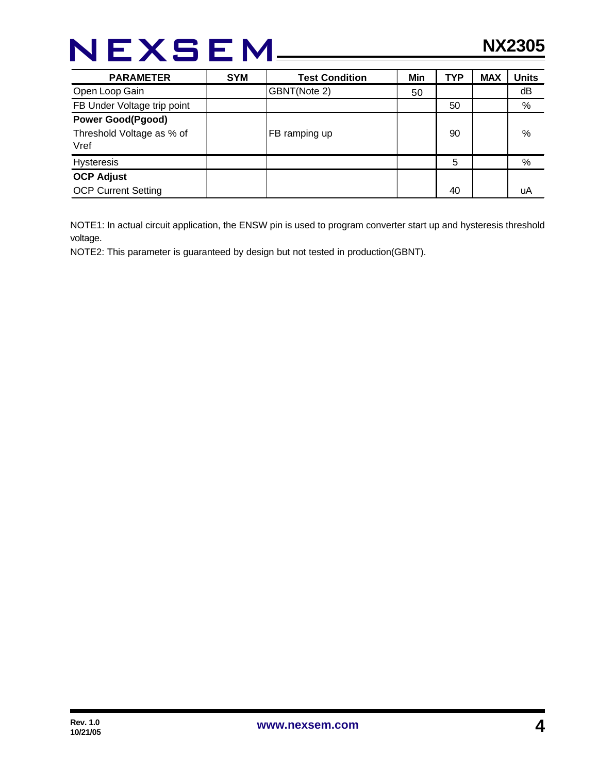| <b>PARAMETER</b>                                              | <b>SYM</b> | <b>Test Condition</b> | Min | <b>TYP</b> | <b>MAX</b> | <b>Units</b> |
|---------------------------------------------------------------|------------|-----------------------|-----|------------|------------|--------------|
| Open Loop Gain                                                |            | GBNT(Note 2)          | 50  |            |            | dB           |
| FB Under Voltage trip point                                   |            |                       |     | 50         |            | %            |
| <b>Power Good(Pgood)</b><br>Threshold Voltage as % of<br>Vref |            | FB ramping up         |     | 90         |            | %            |
| <b>Hysteresis</b>                                             |            |                       |     | 5          |            | %            |
| <b>OCP Adjust</b>                                             |            |                       |     |            |            |              |
| <b>OCP Current Setting</b>                                    |            |                       |     | 40         |            | uA           |

NOTE1: In actual circuit application, the ENSW pin is used to program converter start up and hysteresis threshold voltage.

NOTE2: This parameter is guaranteed by design but not tested in production(GBNT).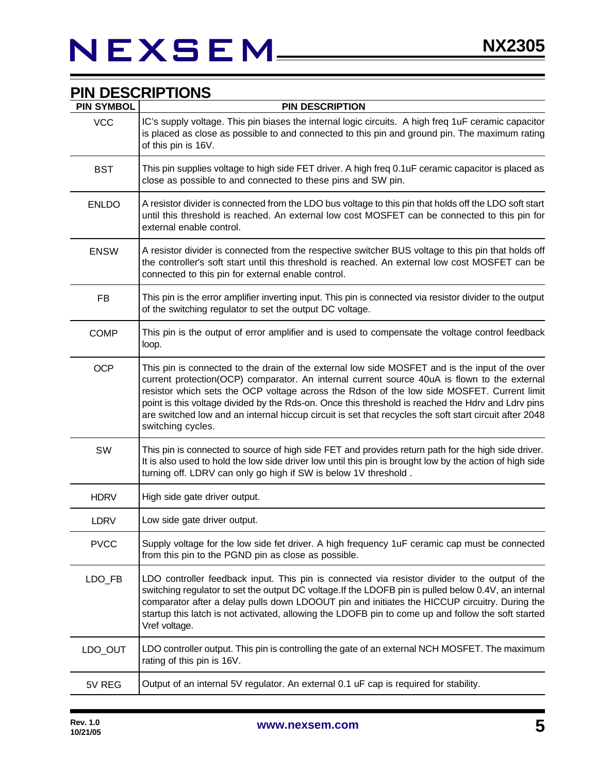| <b>PIN SYMBOL</b> | <b>PIN DESCRIPTION</b>                                                                                                                                                                                                                                                                                                                                                                                                                                                                                                             |
|-------------------|------------------------------------------------------------------------------------------------------------------------------------------------------------------------------------------------------------------------------------------------------------------------------------------------------------------------------------------------------------------------------------------------------------------------------------------------------------------------------------------------------------------------------------|
| <b>VCC</b>        | IC's supply voltage. This pin biases the internal logic circuits. A high freq 1uF ceramic capacitor<br>is placed as close as possible to and connected to this pin and ground pin. The maximum rating<br>of this pin is 16V.                                                                                                                                                                                                                                                                                                       |
| <b>BST</b>        | This pin supplies voltage to high side FET driver. A high freq 0.1uF ceramic capacitor is placed as<br>close as possible to and connected to these pins and SW pin.                                                                                                                                                                                                                                                                                                                                                                |
| <b>ENLDO</b>      | A resistor divider is connected from the LDO bus voltage to this pin that holds off the LDO soft start<br>until this threshold is reached. An external low cost MOSFET can be connected to this pin for<br>external enable control.                                                                                                                                                                                                                                                                                                |
| <b>ENSW</b>       | A resistor divider is connected from the respective switcher BUS voltage to this pin that holds off<br>the controller's soft start until this threshold is reached. An external low cost MOSFET can be<br>connected to this pin for external enable control.                                                                                                                                                                                                                                                                       |
| <b>FB</b>         | This pin is the error amplifier inverting input. This pin is connected via resistor divider to the output<br>of the switching regulator to set the output DC voltage.                                                                                                                                                                                                                                                                                                                                                              |
| <b>COMP</b>       | This pin is the output of error amplifier and is used to compensate the voltage control feedback<br>loop.                                                                                                                                                                                                                                                                                                                                                                                                                          |
| <b>OCP</b>        | This pin is connected to the drain of the external low side MOSFET and is the input of the over<br>current protection(OCP) comparator. An internal current source 40uA is flown to the external<br>resistor which sets the OCP voltage across the Rdson of the low side MOSFET. Current limit<br>point is this voltage divided by the Rds-on. Once this threshold is reached the Hdrv and Ldrv pins<br>are switched low and an internal hiccup circuit is set that recycles the soft start circuit after 2048<br>switching cycles. |
| SW                | This pin is connected to source of high side FET and provides return path for the high side driver.<br>It is also used to hold the low side driver low until this pin is brought low by the action of high side<br>turning off. LDRV can only go high if SW is below 1V threshold.                                                                                                                                                                                                                                                 |
| <b>HDRV</b>       | High side gate driver output.                                                                                                                                                                                                                                                                                                                                                                                                                                                                                                      |
| <b>LDRV</b>       | Low side gate driver output.                                                                                                                                                                                                                                                                                                                                                                                                                                                                                                       |
| <b>PVCC</b>       | Supply voltage for the low side fet driver. A high frequency 1uF ceramic cap must be connected<br>from this pin to the PGND pin as close as possible.                                                                                                                                                                                                                                                                                                                                                                              |
| LDO_FB            | LDO controller feedback input. This pin is connected via resistor divider to the output of the<br>switching regulator to set the output DC voltage. If the LDOFB pin is pulled below 0.4V, an internal<br>comparator after a delay pulls down LDOOUT pin and initiates the HICCUP circuitry. During the<br>startup this latch is not activated, allowing the LDOFB pin to come up and follow the soft started<br>Vref voltage.                                                                                                     |
| LDO_OUT           | LDO controller output. This pin is controlling the gate of an external NCH MOSFET. The maximum<br>rating of this pin is 16V.                                                                                                                                                                                                                                                                                                                                                                                                       |
| 5V REG            | Output of an internal 5V regulator. An external 0.1 uF cap is required for stability.                                                                                                                                                                                                                                                                                                                                                                                                                                              |

### **PIN DESCRIPTIONS**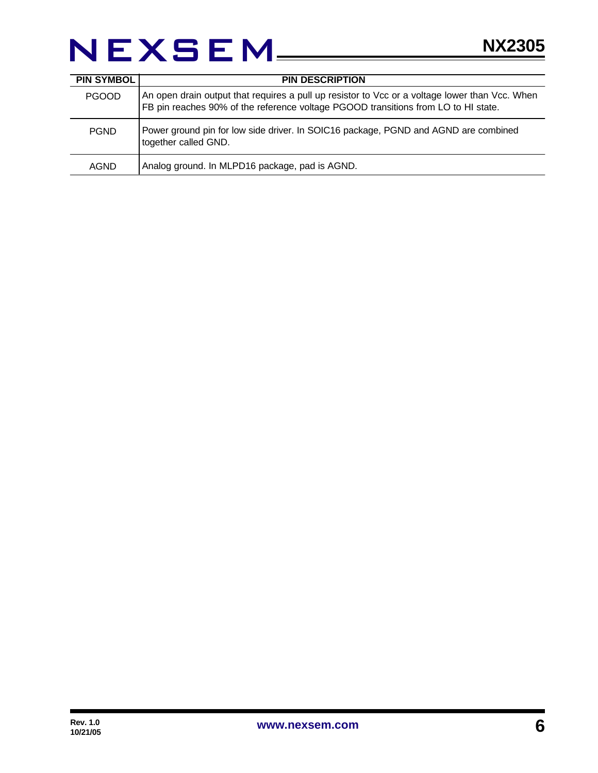### NEXSEM\_\_\_\_\_

| <b>PIN SYMBOL</b> | <b>PIN DESCRIPTION</b>                                                                                                                                                               |
|-------------------|--------------------------------------------------------------------------------------------------------------------------------------------------------------------------------------|
| <b>PGOOD</b>      | An open drain output that requires a pull up resistor to Vcc or a voltage lower than Vcc. When<br>FB pin reaches 90% of the reference voltage PGOOD transitions from LO to HI state. |
| <b>PGND</b>       | Power ground pin for low side driver. In SOIC16 package, PGND and AGND are combined<br>together called GND.                                                                          |
| <b>AGND</b>       | Analog ground. In MLPD16 package, pad is AGND.                                                                                                                                       |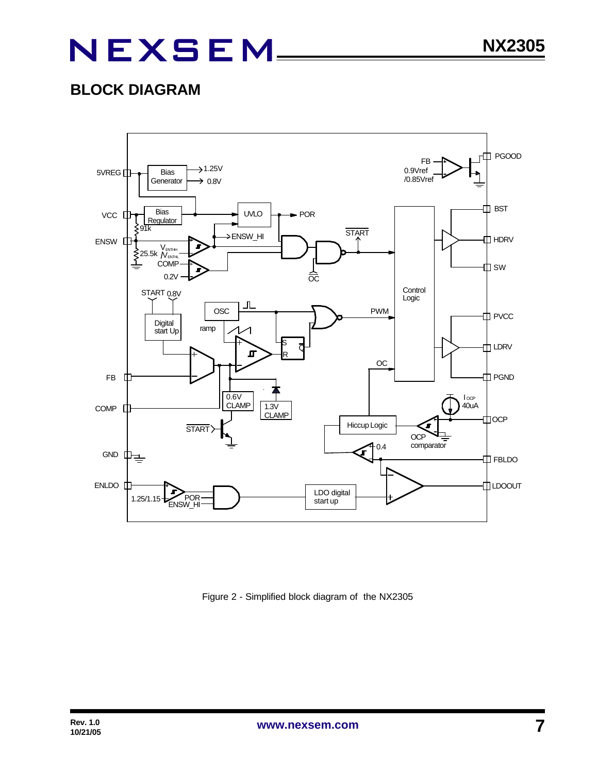### **BLOCK DIAGRAM**



Figure 2 - Simplified block diagram of the NX2305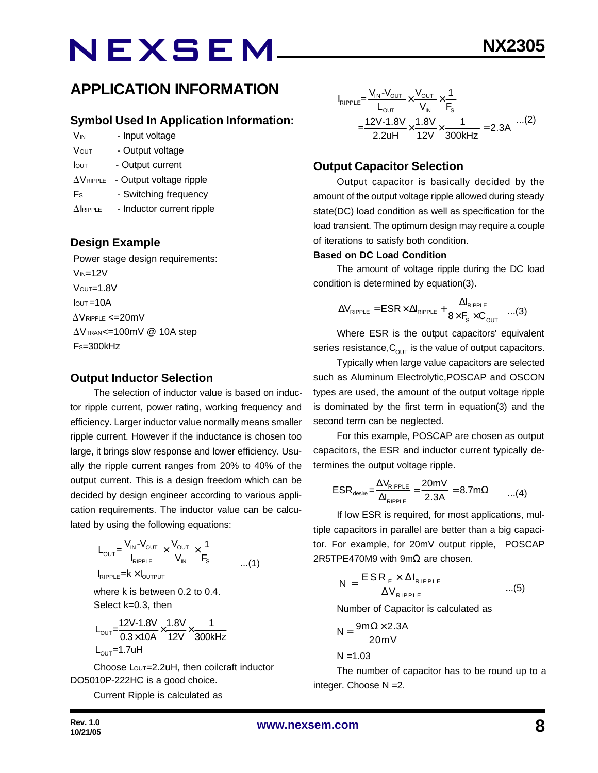### **APPLICATION INFORMATION**

#### **Symbol Used In Application Information:**

- V<sub>IN</sub> Input voltage VOUT - Output voltage
- Iout Output current
- $\Delta V_{\text{RIPPLE}}$  Output voltage ripple
- Fs Switching frequency
- $\Delta$ IRIPPLE Inductor current ripple

#### **Design Example**

 Power stage design requirements:  $V_{IN}=12V$  $V$ OUT= $1.8V$  $I<sub>OUT</sub> = 10A$  $\Delta$ VRIPPLE <=20mV  $\Delta V$ TRAN<=100mV @ 10A step  $Fs = 300kHz$ 

#### **Output Inductor Selection**

The selection of inductor value is based on inductor ripple current, power rating, working frequency and efficiency. Larger inductor value normally means smaller ripple current. However if the inductance is chosen too large, it brings slow response and lower efficiency. Usually the ripple current ranges from 20% to 40% of the output current. This is a design freedom which can be decided by design engineer according to various application requirements. The inductor value can be calculated by using the following equations:

$$
L_{\text{OUT}} = \frac{V_{\text{IN}} - V_{\text{OUT}}}{I_{\text{RIPPLE}}} \times \frac{V_{\text{OUT}}}{V_{\text{IN}}} \times \frac{1}{F_{\text{S}}}
$$
...(1)

where k is between 0.2 to 0.4. Select k=0.3, then

$$
L_{\text{OUT}} = \frac{12V - 1.8V}{0.3 \times 10A} \times \frac{1.8V}{12V} \times \frac{1}{300kHz}
$$
  
L\_{\text{OUT}} = 1.7uH

Choose Lout=2.2uH, then coilcraft inductor DO5010P-222HC is a good choice.

Current Ripple is calculated as

$$
I_{RIPPLE} = \frac{V_{IN} - V_{OUT}}{L_{OUT}} \times \frac{V_{OUT}}{V_{IN}} \times \frac{1}{F_s}
$$
  
= 
$$
\frac{12V - 1.8V}{2.2uH} \times \frac{1.8V}{12V} \times \frac{1}{300kHz} = 2.3A
$$
...(2)

### **Output Capacitor Selection**

Output capacitor is basically decided by the amount of the output voltage ripple allowed during steady state(DC) load condition as well as specification for the load transient. The optimum design may require a couple of iterations to satisfy both condition.

#### **Based on DC Load Condition**

The amount of voltage ripple during the DC load condition is determined by equation(3).

$$
\Delta V_{\text{RIPPLE}} = \text{ESR} \times \Delta I_{\text{RIPPLE}} + \frac{\Delta I_{\text{RIPPLE}}}{8 \times F_s \times C_{\text{OUT}}} \quad ...(3)
$$

Where ESR is the output capacitors' equivalent series resistance,  $C_{\text{OUT}}$  is the value of output capacitors.

Typically when large value capacitors are selected such as Aluminum Electrolytic,POSCAP and OSCON types are used, the amount of the output voltage ripple is dominated by the first term in equation(3) and the second term can be neglected.

For this example, POSCAP are chosen as output capacitors, the ESR and inductor current typically determines the output voltage ripple.

$$
ESR_{\text{desire}} = \frac{\Delta V_{\text{RIPPLE}}}{\Delta I_{\text{RIPPLE}}} = \frac{20 \text{mV}}{2.3 \text{A}} = 8.7 \text{m}\Omega \qquad ...(4)
$$

If low ESR is required, for most applications, multiple capacitors in parallel are better than a big capacitor. For example, for 20mV output ripple, POSCAP 2R5TPE470M9 with 9m $Ω$  are chosen.

$$
N = \frac{ESR_{E} \times \Delta I_{RIPPLE}}{\Delta V_{RIPPLE}} \qquad ...(5)
$$

Number of Capacitor is calculated as

$$
N = \frac{9m\Omega \times 2.3A}{20mV}
$$

 $N = 1.03$ 

The number of capacitor has to be round up to a integer. Choose N =2.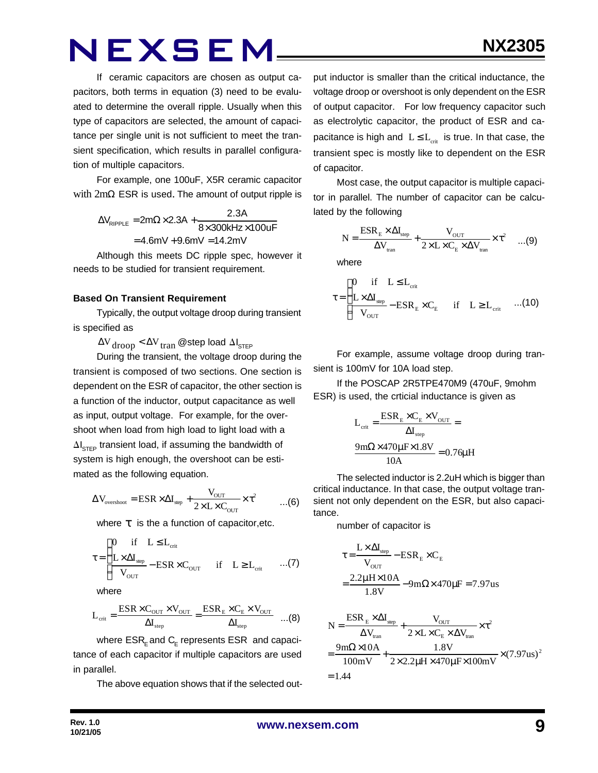If ceramic capacitors are chosen as output capacitors, both terms in equation (3) need to be evaluated to determine the overall ripple. Usually when this type of capacitors are selected, the amount of capacitance per single unit is not sufficient to meet the transient specification, which results in parallel configuration of multiple capacitors.

For example, one 100uF, X5R ceramic capacitor with  $2m\Omega$  ESR is used. The amount of output ripple is

> $\Delta V_{\text{pippE}} = 2m\Omega \times 2.3A +$  $V_{\text{RIPPLE}} = 2 \text{m}\Omega \times 2.3 \text{A} + \frac{2.3 \text{A}}{8 \times 300 \text{kHz}}$  $=4.6$ mV  $+9.6$ mV  $=14.2$ mV  $8\times 300$ kHz $\times 100$ uF

Although this meets DC ripple spec, however it needs to be studied for transient requirement.

#### **Based On Transient Requirement**

Typically, the output voltage droop during transient is specified as

 $\Delta V_{\rm drop} < \Delta V_{\rm tran}$  @step load  $\Delta I_{\rm STEP}$ 

During the transient, the voltage droop during the transient is composed of two sections. One section is dependent on the ESR of capacitor, the other section is a function of the inductor, output capacitance as well as input, output voltage. For example, for the overshoot when load from high load to light load with a  $\Delta I_{\text{STEP}}$  transient load, if assuming the bandwidth of system is high enough, the overshoot can be estimated as the following equation.

$$
\Delta V_{\text{overshoot}} = \text{ESR} \times \Delta I_{\text{step}} + \frac{V_{\text{OUT}}}{2 \times L \times C_{\text{OUT}}} \times \tau^2 \qquad ...(6)
$$

where *t* is the a function of capacitor,etc.

$$
\tau = \begin{cases}\n0 & \text{if} \quad L \le L_{\text{crit}} \\
\frac{L \times \Delta I_{\text{sep}}}{V_{\text{OUT}}} - \text{ESR} \times C_{\text{OUT}} & \text{if} \quad L \ge L_{\text{crit}} \quad \dots (7)\n\end{cases}
$$

where

$$
L_{\rm crit} = \frac{\rm ESR \times C_{\rm OUT} \times V_{\rm OUT}}{\Delta I_{\rm step}} = \frac{\rm ESR_E \times C_E \times V_{\rm OUT}}{\Delta I_{\rm step}} \quad ...(8)
$$

where  $\mathsf{ESR}_\mathsf{E}$  and  $\mathsf{C}_\mathsf{E}$  represents  $\mathsf{ESR}\;$  and capacitance of each capacitor if multiple capacitors are used in parallel.

The above equation shows that if the selected out-

put inductor is smaller than the critical inductance, the voltage droop or overshoot is only dependent on the ESR of output capacitor. For low frequency capacitor such as electrolytic capacitor, the product of ESR and capacitance is high and  $L \leq L_{crit}$  is true. In that case, the transient spec is mostly like to dependent on the ESR of capacitor.

Most case, the output capacitor is multiple capacitor in parallel. The number of capacitor can be calculated by the following

$$
N = \frac{ESR_{E} \times \Delta I_{step}}{\Delta V_{tran}} + \frac{V_{OUT}}{2 \times L \times C_{E} \times \Delta V_{tran}} \times \tau^{2} \quad ...(9)
$$

where

$$
\tau = \begin{cases}\n0 & \text{if} \quad L \leq L_{\text{crit}} \\
\frac{L \times \Delta I_{\text{step}}}{V_{\text{OUT}}} - \text{ESR}_{\text{E}} \times C_{\text{E}} & \text{if} \quad L \geq L_{\text{crit}} \quad ...(10)\n\end{cases}
$$

For example, assume voltage droop during transient is 100mV for 10A load step.

If the POSCAP 2R5TPE470M9 (470uF, 9mohm ESR) is used, the crticial inductance is given as

$$
L_{\text{crit}} = \frac{ESR_{\text{E}} \times C_{\text{E}} \times V_{\text{OUT}}}{\Delta I_{\text{step}}} =
$$

$$
\frac{9 \text{m}\Omega \times 470 \mu \text{F} \times 1.8 V}{10 \text{A}} = 0.76 \mu \text{H}
$$

The selected inductor is 2.2uH which is bigger than critical inductance. In that case, the output voltage transient not only dependent on the ESR, but also capacitance.

number of capacitor is

$$
\tau = \frac{L \times \Delta I_{\text{step}}}{V_{\text{OUT}}} - ESR_E \times C_E
$$

$$
= \frac{2.2 \mu H \times 10A}{1.8 V} - 9 m\Omega \times 470 \mu F = 7.97 us
$$

$$
N = \frac{ESR_E \times \Delta I_{\text{step}}}{\Delta V_{\text{tran}}} + \frac{V_{\text{OUT}}}{2 \times L \times C_E \times \Delta V_{\text{tran}}} \times \tau^2
$$
  
= 
$$
\frac{9 \text{m}\Omega \times 10 \text{A}}{100 \text{mV}} + \frac{1.8 \text{V}}{2 \times 2.2 \mu \text{H} \times 470 \mu \text{F} \times 100 \text{mV}} \times (7.97 \text{us})^2
$$
  
= 1.44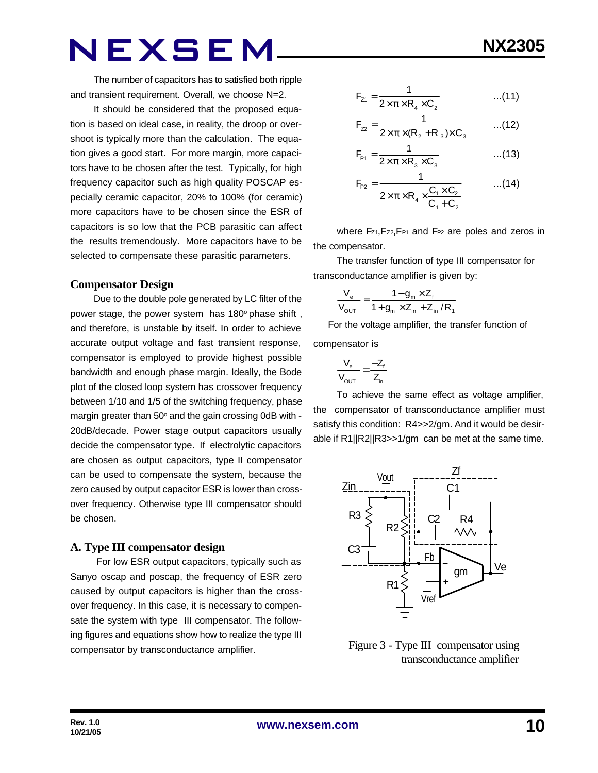It should be considered that the proposed equation is based on ideal case, in reality, the droop or overshoot is typically more than the calculation. The equation gives a good start. For more margin, more capacitors have to be chosen after the test. Typically, for high frequency capacitor such as high quality POSCAP especially ceramic capacitor, 20% to 100% (for ceramic) more capacitors have to be chosen since the ESR of capacitors is so low that the PCB parasitic can affect the results tremendously. More capacitors have to be selected to compensate these parasitic parameters.

#### **Compensator Design**

Due to the double pole generated by LC filter of the power stage, the power system has 180° phase shift, and therefore, is unstable by itself. In order to achieve accurate output voltage and fast transient response, compensator is employed to provide highest possible bandwidth and enough phase margin. Ideally, the Bode plot of the closed loop system has crossover frequency between 1/10 and 1/5 of the switching frequency, phase margin greater than 50° and the gain crossing 0dB with -20dB/decade. Power stage output capacitors usually decide the compensator type. If electrolytic capacitors are chosen as output capacitors, type II compensator can be used to compensate the system, because the zero caused by output capacitor ESR is lower than crossover frequency. Otherwise type III compensator should be chosen.

#### **A. Type III compensator design**

 For low ESR output capacitors, typically such as Sanyo oscap and poscap, the frequency of ESR zero caused by output capacitors is higher than the crossover frequency. In this case, it is necessary to compensate the system with type III compensator. The following figures and equations show how to realize the type III compensator by transconductance amplifier.

$$
F_{z1} = \frac{1}{2 \times \pi \times R_4 \times C_2}
$$
...(11)

$$
F_{22} = \frac{1}{2 \times \pi \times (R_2 + R_3) \times C_3}
$$
...(12)

$$
F_{P1} = \frac{1}{2 \times \pi \times R_3 \times C_3}
$$
...(13)

$$
F_{P2} = \frac{1}{2 \times \pi \times R_4 \times \frac{C_1 \times C_2}{C_1 + C_2}} \qquad ...(14)
$$

where Fz<sub>1</sub>, Fz<sub>2</sub>, F<sub>P1</sub> and F<sub>P2</sub> are poles and zeros in the compensator.

The transfer function of type III compensator for transconductance amplifier is given by:

$$
\frac{V_{e}}{V_{\text{OUT}}} = \frac{1 - g_{m} \times Z_{f}}{1 + g_{m} \times Z_{in} + Z_{in} / R_{f}}
$$

 For the voltage amplifier, the transfer function of compensator is

$$
\frac{V_e}{V_{OUT}} = \frac{-Z_f}{Z_{in}}
$$

To achieve the same effect as voltage amplifier, the compensator of transconductance amplifier must satisfy this condition: R4>>2/gm. And it would be desirable if R1||R2||R3>>1/gm can be met at the same time.



 Figure 3 - Type III compensator using transconductance amplifier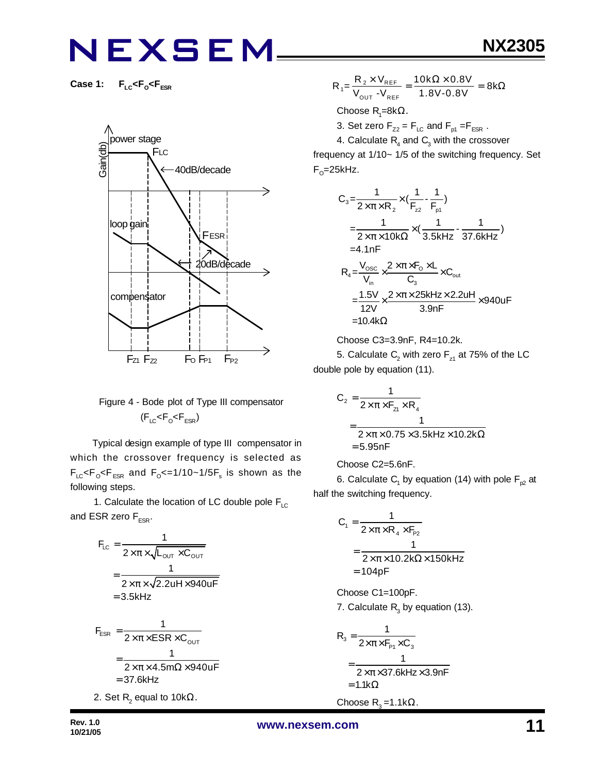**Case 1: FLC<F<sup>O</sup> <FESR**



### Figure 4 - Bode plot of Type III compensator  $(F_{LC}$ < $F_{O}$ < $F_{ESR}$ )

 Typical design example of type III compensator in which the crossover frequency is selected as  $\mathsf{F}_{\text{\tiny{LC}}}$ < $\mathsf{F}_{\text{\tiny{OSR}}}$  and  $\mathsf{F}_{\text{\tiny{O}}}$ <=1/10~1/5 $\mathsf{F}_{\text{\tiny{s}}}$  is shown as the following steps.

1. Calculate the location of LC double pole  $F_{LC}$ and ESR zero  $F_{FSR}$ .

$$
F_{LC} = \frac{1}{2 \times \pi \times \sqrt{L_{OUT} \times C_{OUT}}}
$$

$$
= \frac{1}{2 \times \pi \times \sqrt{2.2uH \times 940uF}}
$$

$$
= 3.5kHz
$$

$$
F_{ESR} = \frac{1}{2 \times \pi \times ESR \times C_{OUT}}
$$
  
= 
$$
\frac{1}{2 \times \pi \times 4.5m\Omega \times 940 \text{UF}}
$$
  
= 37.6kHz  
2. Set R<sub>2</sub> equal to 10kΩ.

$$
R_1 = \frac{R_2 \times V_{REF}}{V_{OUT} - V_{REF}} = \frac{10k\Omega \times 0.8V}{1.8V - 0.8V} = 8k\Omega
$$

Choose  $\mathsf{R}_{\scriptscriptstyle{1}}$ =8kΩ.

3. Set zero  $F_{Z2} = F_{LC}$  and  $F_{p1} = F_{ESR}$ .

4. Calculate  $\mathsf{R}_{\!{}_4}$  and  $\mathsf{C}_{\!{}_3}$  with the crossover frequency at 1/10~ 1/5 of the switching frequency. Set F<sub>o</sub>=25kHz.

$$
C_3 = \frac{1}{2 \times \pi \times R_2} \times (\frac{1}{F_{z2}} - \frac{1}{F_{p1}})
$$
  
\n
$$
= \frac{1}{2 \times \pi \times 10k\Omega} \times (\frac{1}{3.5kHz} - \frac{1}{37.6kHz})
$$
  
\n=4.1nF  
\n
$$
R_4 = \frac{V_{osc}}{V_{in}} \times \frac{2 \times \pi \times F_0 \times L}{C_3} \times C_{out}
$$
  
\n
$$
= \frac{1.5V}{12V} \times \frac{2 \times \pi \times 25kHz \times 2.2uH}{3.9nF} \times 940uF
$$
  
\n=10.4kΩ

Choose C3=3.9nF, R4=10.2k.

5. Calculate  $\mathsf{C}_2$  with zero  $\mathsf{F}_{\mathsf{z}1}$  at 75% of the LC double pole by equation (11).

$$
C_2 = \frac{1}{2 \times \pi \times F_{z1} \times R_4}
$$
  
= 
$$
\frac{1}{2 \times \pi \times 0.75 \times 3.5 \text{kHz} \times 10.2 \text{k}\Omega}
$$
  
= 5.95nF

#### Choose C2=5.6nF.

6. Calculate  $\mathsf{C}_\mathsf{1}$  by equation (14) with pole  $\mathsf{F}_{\mathsf{p2}}$  at half the switching frequency.

$$
C_1 = \frac{1}{2 \times \pi \times R_4 \times F_{p_2}}
$$
  
= 
$$
\frac{1}{2 \times \pi \times 10.2 k\Omega \times 150 kHz}
$$
  
= 104pF

Choose C1=100pF. 7. Calculate  $R_3$  by equation (13).

$$
R_3 = \frac{1}{2 \times \pi \times F_{P1} \times C_3}
$$
  
= 
$$
\frac{1}{2 \times \pi \times 37.6 \text{kHz} \times 3.9 \text{nF}}
$$
  
= 1.1k $\Omega$ 

Choose  $R_3 = 1.1kΩ$ .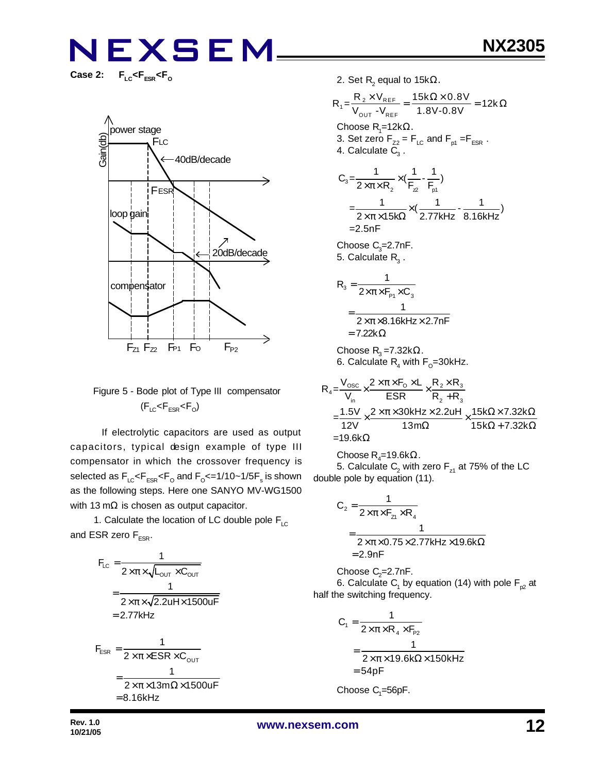$F_{LC}$ < $F_{ESR}$ < $F_{O}$ 



### Figure 5 - Bode plot of Type III compensator  $(F_{LC}$ < $F_{ESR}$ < $F_{O}$ )

 If electrolytic capacitors are used as output capacitors, typical design example of type III compensator in which the crossover frequency is selected as  $\mathsf{F}_{\text{\tiny{LC}}} \!\!\mathopen{\leq} \!\mathsf{F}_{\text{\tiny{ESR}}} \!\!\mathopen{\leq} \!\mathsf{F}_{\text{\tiny{O}}}$  and  $\mathsf{F}_{\text{\tiny{O}}} \!\!\mathopen{\leq} \!=\! 1/10 \!\!\mathclose{\sim} \!1/\!5 \mathsf{F}_{\text{\tiny{S}}}$  is shown as the following steps. Here one SANYO MV-WG1500 with 13 mΩ is chosen as output capacitor.

1. Calculate the location of LC double pole  $F_{LC}$ and ESR zero  $F_{ESR}$ .

$$
F_{LC} = \frac{1}{2 \times \pi \times \sqrt{L_{OUT} \times C_{OUT}}}
$$
\n
$$
= \frac{1}{2 \times \pi \times \sqrt{2.2uH \times 1500uF}}
$$
\n
$$
= 2.77kHz
$$
\n
$$
F_{ESR} = \frac{1}{2 \times \pi \times ESR \times C_{OUT}}
$$
\n
$$
= \frac{1}{2 \times \pi \times 13m\Omega \times 1500uF}
$$
\n
$$
= 8.16kHz
$$

2. Set R $_{2}$  equal to 15k $\Omega_{\cdot}$ 

$$
R_{1} = \frac{R_{2} \times V_{REF}}{V_{OUT} - V_{REF}} = \frac{15k\Omega \times 0.8V}{1.8V - 0.8V} = 12k\Omega
$$
  
\nChoose R<sub>7</sub>=12k $\Omega$ .  
\n3. Set zero F<sub>z2</sub> = F<sub>LC</sub> and F<sub>p1</sub> =F<sub>ESR</sub>.  
\n4. Calculate C<sub>3</sub>.  
\nC<sub>3</sub>= $\frac{1}{2 \times \pi \times R_{2}} \times (\frac{1}{F_{2}} - \frac{1}{F_{p1}})$   
\n $=\frac{1}{2 \times \pi \times 15k\Omega} \times (\frac{1}{2.77kHz} - \frac{1}{8.16kHz})$   
\n=2.5nF  
\nChoose C<sub>3</sub>=2.7nF.  
\n5. Calculate R<sub>3</sub>.  
\nR<sub>3</sub> =  $\frac{1}{2 \times \pi \times 8.16kHz \times 2.7nF}$   
\n= 7.22k $\Omega$   
\nChoose R<sub>3</sub> =7.32k $\Omega$ .  
\n6. Calculate R<sub>4</sub> with F<sub>o</sub>=30kHz.  
\nV<sub>osc</sub> = 2 $\pi \times \pi$  F<sub>o</sub> × L<sub>g</sub> R<sub>2</sub> × R<sub>3</sub>

$$
R_4 = \frac{V_{\text{osc}}}{V_{\text{in}}} \times \frac{2 \times \pi \times F_0 \times L}{ESR} \times \frac{R_2 \times R_3}{R_2 + R_3}
$$
  
= 
$$
\frac{1.5V}{12V} \times \frac{2 \times \pi \times 30kHz \times 2.2uH}{13m\Omega} \times \frac{15k\Omega \times 7.32k\Omega}{15k\Omega + 7.32k\Omega}
$$
  
= 19.6k $\Omega$ 

 $\mathsf{Choose}\, \mathsf{R}_4$ =19.6k $\Omega.$ 

5. Calculate  $\mathsf{C}_2$  with zero  $\mathsf{F}_{\mathsf{z}1}$  at 75% of the LC double pole by equation (11).

$$
C_2 = \frac{1}{2 \times \pi \times F_{z1} \times R_4}
$$
  
= 
$$
\frac{1}{2 \times \pi \times 0.75 \times 2.77 \text{kHz} \times 19.6 \text{k}\Omega}
$$
  
= 2.9nF

Choose  $C_2$ =2.7nF.

6. Calculate  $\mathsf{C}_\mathsf{1}$  by equation (14) with pole  $\mathsf{F}_{\mathsf{p2}}$  at half the switching frequency.

$$
C_1 = \frac{1}{2 \times \pi \times R_4 \times F_{p_2}}
$$
  
= 
$$
\frac{1}{2 \times \pi \times 19.6 k\Omega \times 150 kHz}
$$
  
= 54pF

 $\mathsf{Choose}\ C_{\scriptscriptstyle \!1}=\!\!56$ p $\mathsf{F}.$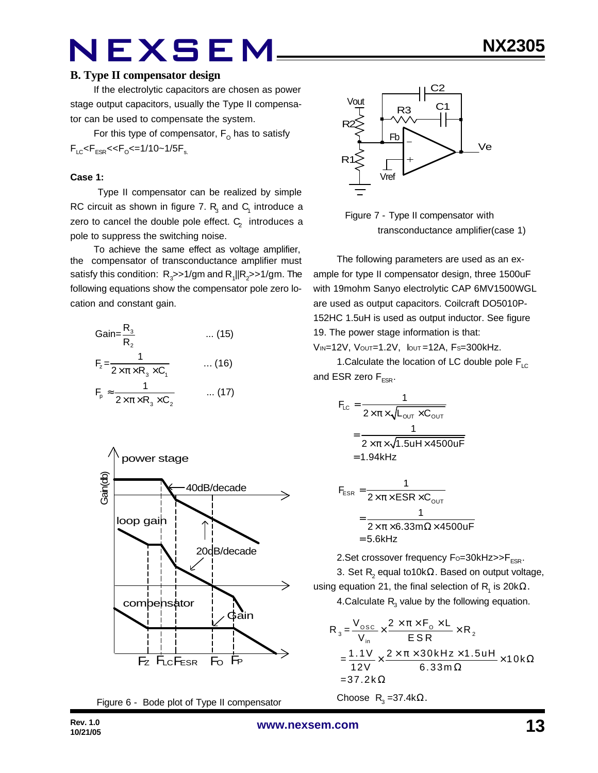If the electrolytic capacitors are chosen as power stage output capacitors, usually the Type II compensator can be used to compensate the system.

For this type of compensator,  $\mathsf{F}_\mathsf{O}$  has to satisfy  $F_{LC}$ < $F_{ESR}$ << $F_{O}$ <=1/10~1/5 $F_{s.}$ 

#### **Case 1:**

 Type II compensator can be realized by simple RC circuit as shown in figure 7.  $R_3$  and  $C_1$  introduce a zero to cancel the double pole effect.  $\textsf{C}_\textsf{2}^{\textsf{}}\,$  introduces a pole to suppress the switching noise.

To achieve the same effect as voltage amplifier, the compensator of transconductance amplifier must satisfy this condition:  $R_{_3}$ >>1/gm and  $R_{_1}$ ||R $_2$ >>1/gm. The following equations show the compensator pole zero location and constant gain.

Gain=
$$
\frac{R_3}{R_2}
$$
 ... (15)  
\n
$$
F_z = \frac{1}{2 \times \pi \times R_3 \times C_1}
$$
 ... (16)  
\n
$$
F_p \approx \frac{1}{2 \times \pi \times R_3 \times C_2}
$$
 ... (17)







 Figure 7 - Type II compensator with transconductance amplifier(case 1)

The following parameters are used as an example for type II compensator design, three 1500uF with 19mohm Sanyo electrolytic CAP 6MV1500WGL are used as output capacitors. Coilcraft DO5010P-152HC 1.5uH is used as output inductor. See figure 19. The power stage information is that:

VIN=12V, VOUT=1.2V, IOUT =12A, FS=300kHz.

1. Calculate the location of LC double pole  $F_{\text{LC}}$ and ESR zero  $F_{FSR}$ .

$$
F_{LC} = \frac{1}{2 \times \pi \times \sqrt{L_{OUT} \times C_{OUT}}}
$$

$$
= \frac{1}{2 \times \pi \times \sqrt{1.5uH \times 4500uF}}
$$

$$
= 1.94kHz
$$

$$
F_{ESR} = \frac{1}{2 \times \pi \times ESR \times C_{OUT}}
$$

$$
= \frac{1}{2 \times \pi \times 6.33 \text{ m}\Omega \times 4500 \text{ uF}}
$$

$$
= 5.6 \text{kHz}
$$

2. Set crossover frequency  $F_0 = 30k$ Hz $>> F_{FSR}$ .

3. Set  $\mathsf{R}_{\mathsf{2}}$  equal to10k $\Omega.$  Based on output voltage, using equation 21, the final selection of  $\mathsf{R}_{\mathsf{1}}$  is 20k $\Omega.$ 4.Calculate  $R_{3}$  value by the following equation.

$$
R_{3} = \frac{V_{\text{osc}}}{V_{\text{in}}} \times \frac{2 \times \pi \times F_{\text{o}} \times L}{ESR} \times R_{2}
$$
  
= 
$$
\frac{1.1 V}{12 V} \times \frac{2 \times \pi \times 30 kHz \times 1.5 uH}{6.33 m \Omega} \times 10 k \Omega
$$
  
= 37.2 k $\Omega$ 

Choose  $R_3 = 37.4k\Omega$ .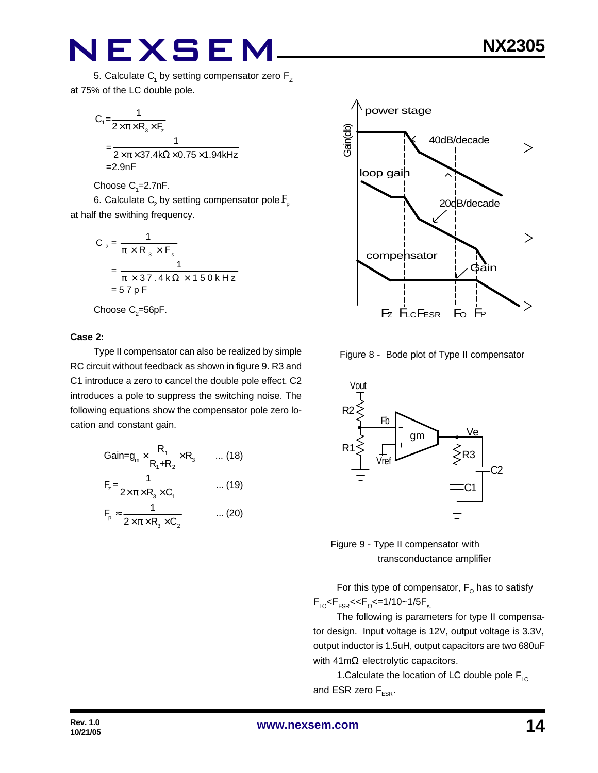$$
C_1 = \frac{1}{2 \times \pi \times R_3 \times F_2}
$$
  
= 
$$
\frac{1}{2 \times \pi \times 37.4 \text{k}\Omega \times 0.75 \times 1.94 \text{k}
$$
  
=2.9nF

Choose  $C_1 = 2.7$ nF.

6. Calculate  $\mathsf{C}_\text{2}$  by setting compensator pole  $\mathrm{F}_{\text{p}}$ at half the swithing frequency.

$$
C_2 = \frac{1}{\pi \times R_3 \times F_s}
$$
  
= 
$$
\frac{1}{\pi \times 37.4 \text{ k}\Omega \times 150 \text{ kHz}}
$$
  
= 57 pF

Choose  $\mathrm{C}_2$ =56pF.

#### **Case 2:**

Type II compensator can also be realized by simple RC circuit without feedback as shown in figure 9. R3 and C1 introduce a zero to cancel the double pole effect. C2 introduces a pole to suppress the switching noise. The following equations show the compensator pole zero location and constant gain.

$$
Gain = g_m \times \frac{R_1}{R_1 + R_2} \times R_3 \qquad \dots (18)
$$
  
\n
$$
F_z = \frac{1}{2 \times \pi \times R_3 \times C_1} \qquad \dots (19)
$$
  
\n
$$
F_p \approx \frac{1}{2 \times \pi \times R_3 \times C_2} \qquad \dots (20)
$$



Figure 8 - Bode plot of Type II compensator





For this type of compensator,  $\mathsf{F}_\mathsf{O}$  has to satisfy  $F_{LC}$ < $F_{ESR}$ << $F_{O}$ <=1/10~1/5 $F_{s.}$ 

The following is parameters for type II compensator design. Input voltage is 12V, output voltage is 3.3V, output inductor is 1.5uH, output capacitors are two 680uF with 41mΩ electrolytic capacitors.

1. Calculate the location of LC double pole  $F_{LC}$ and ESR zero  $F_{FSR}$ .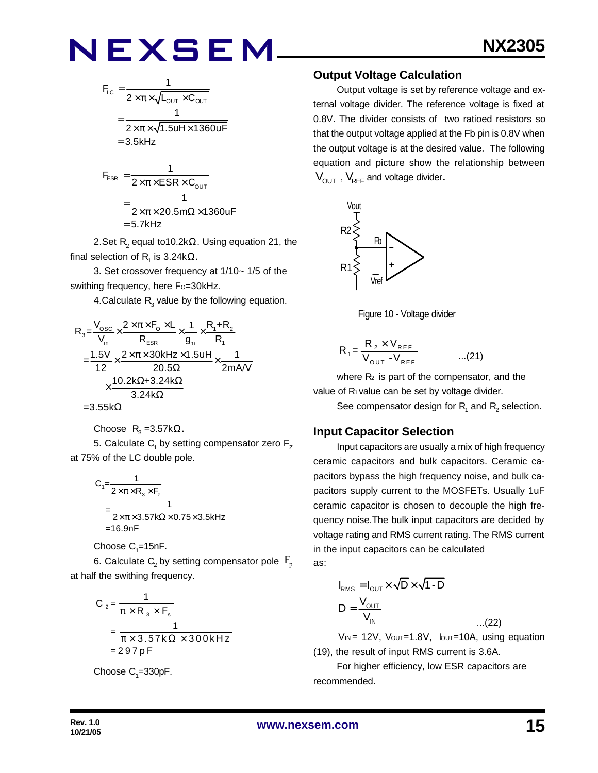$$
F_{LC} = \frac{1}{2 \times \pi \times \sqrt{L_{OUT} \times C_{OUT}}}
$$

$$
= \frac{1}{2 \times \pi \times \sqrt{1.5uH \times 1360uF}}
$$

$$
= 3.5kHz
$$

$$
F_{ESR} = \frac{1}{2 \times \pi \times ESR \times C_{OUT}}
$$

$$
= \frac{1}{2 \times \pi \times 20.5 m\Omega \times 1360 uF}
$$

$$
= 5.7 kHz
$$

2.Set  $\mathsf{R}_{\mathsf{2}}$  equal to10.2k $\Omega.$  Using equation 21, the final selection of  $\mathsf{R}_{\mathsf{1}}$  is 3.24k $\Omega.$ 

3. Set crossover frequency at 1/10~ 1/5 of the swithing frequency, here Fo=30kHz.

4.Calculate  $R_{3}$  value by the following equation.

$$
R_{3} = \frac{V_{\text{osc}}}{V_{\text{in}}} \times \frac{2 \times \pi \times F_{\text{o}} \times L}{R_{\text{ESR}}} \times \frac{1}{g_{\text{m}}} \times \frac{R_{1} + R_{2}}{R_{1}}
$$
\n
$$
= \frac{1.5V}{12} \times \frac{2 \times \pi \times 30 \text{kHz} \times 1.5 \text{uH}}{20.5 \Omega} \times \frac{1}{2 \text{mA/V}}
$$
\n
$$
\times \frac{10.2 \text{k}\Omega + 3.24 \text{k}\Omega}{3.24 \text{k}\Omega}
$$
\n=3.55 k\Omega

$$
-0.00022
$$

Choose 
$$
R_3 = 3.57kΩ
$$
.

5. Calculate  $\mathsf{C}_\mathsf{1}$  by setting compensator zero  $\mathsf{F}_\mathsf{Z}$ at 75% of the LC double pole.

$$
C_1 = \frac{1}{2 \times \pi \times R_3 \times F_z}
$$
  
= 
$$
\frac{1}{2 \times \pi \times 3.57 \times \Omega \times 0.75 \times 3.5 \times Hz}
$$
  
= 16.9nF

Choose  $\mathrm{C}_\text{\tiny{1}}$ =15nF.

6. Calculate  $\mathsf{C}_\mathsf{2}$  by setting compensator pole  $\,\mathsf{F}_\mathsf{p}\,$ at half the swithing frequency.

$$
C_2 = \frac{1}{\pi \times R_3 \times F_s}
$$
  
= 
$$
\frac{1}{\pi \times 3.57 \times \Omega \times 300 \times Hz}
$$
  
= 297 pF

Choose  $C_1 = 330pF$ .

#### **Output Voltage Calculation**

Output voltage is set by reference voltage and external voltage divider. The reference voltage is fixed at 0.8V. The divider consists of two ratioed resistors so that the output voltage applied at the Fb pin is 0.8V when the output voltage is at the desired value. The following equation and picture show the relationship between  $V_{\text{OUT}}$ ,  $V_{\text{REF}}$  and voltage divider.





$$
R_1 = \frac{R_2 \times V_{REF}}{V_{OUT} - V_{REF}} \qquad \qquad \dots (21)
$$

where  $R<sub>2</sub>$  is part of the compensator, and the value of R<sub>1</sub> value can be set by voltage divider.

See compensator design for  $\mathsf{R}_{\mathsf{1}}$  and  $\mathsf{R}_{\mathsf{2}}$  selection.

#### **Input Capacitor Selection**

Input capacitors are usually a mix of high frequency ceramic capacitors and bulk capacitors. Ceramic capacitors bypass the high frequency noise, and bulk capacitors supply current to the MOSFETs. Usually 1uF ceramic capacitor is chosen to decouple the high frequency noise.The bulk input capacitors are decided by voltage rating and RMS current rating. The RMS current in the input capacitors can be calculated as:

$$
I_{RMS} = I_{OUT} \times \sqrt{D} \times \sqrt{1 - D}
$$

$$
D = \frac{V_{OUT}}{V_{IN}}
$$

 $V_{IN}$  = 12V,  $V_{OUT}$ =1.8V,  $V_{OUT}$ =10A, using equation (19), the result of input RMS current is 3.6A.

...(22)

For higher efficiency, low ESR capacitors are recommended.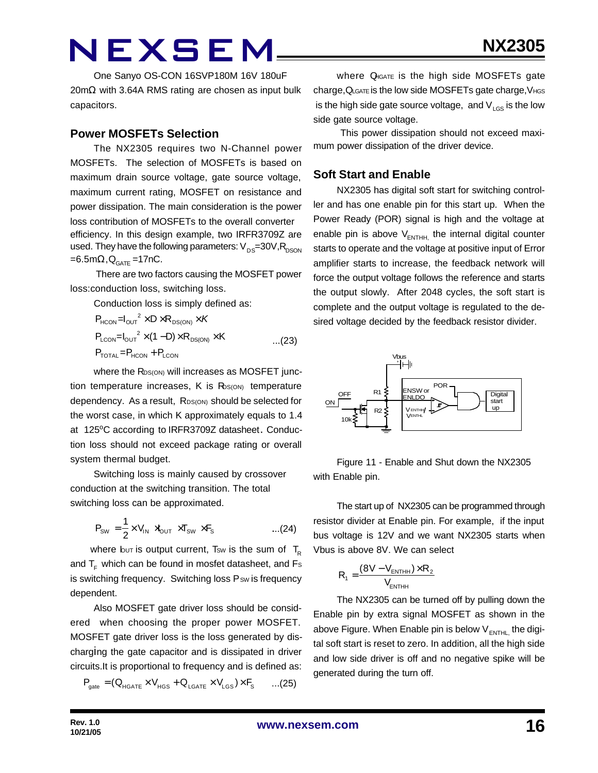One Sanyo OS-CON 16SVP180M 16V 180uF 20mΩ with 3.64A RMS rating are chosen as input bulk capacitors.

#### **Power MOSFETs Selection**

The NX2305 requires two N-Channel power MOSFETs. The selection of MOSFETs is based on maximum drain source voltage, gate source voltage, maximum current rating, MOSFET on resistance and power dissipation. The main consideration is the power loss contribution of MOSFETs to the overall converter efficiency. In this design example, two IRFR3709Z are used. They have the following parameters:  $V_{DS}=30V,R_{DSON}$  $=6.5$ m $\Omega$ , $Q_{GATE}$ =17nC.

 There are two factors causing the MOSFET power loss:conduction loss, switching loss.

Conduction loss is simply defined as:

$$
P_{HCON} = I_{OUT}^2 \times D \times R_{DS(ON)} \times K
$$
  
\n
$$
P_{LCDN} = I_{OUT}^2 \times (1 - D) \times R_{DS(ON)} \times K
$$
...(23)  
\n
$$
P_{TOTAL} = P_{HCON} + P_{LCDN}
$$

where the R<sub>DS(ON)</sub> will increases as MOSFET junction temperature increases,  $K$  is  $R_{S(ON)}$  temperature dependency. As a result, RDS(ON) should be selected for the worst case, in which K approximately equals to 1.4 at 125°C according to IRFR3709Z datasheet. Conduction loss should not exceed package rating or overall system thermal budget.

Switching loss is mainly caused by crossover conduction at the switching transition. The total switching loss can be approximated.

$$
P_{\text{SW}} = \frac{1}{2} \times V_{\text{IN}} \times V_{\text{OUT}} \times T_{\text{SW}} \times F_{\text{S}} \quad \text{....(24)}
$$

where but is output current, Tsw is the sum of  $T_{\rm B}$ and  $T_F$  which can be found in mosfet datasheet, and Fs is switching frequency. Switching loss Psw is frequency dependent.

Also MOSFET gate driver loss should be considered when choosing the proper power MOSFET. MOSFET gate driver loss is the loss generated by discharging the gate capacitor and is dissipated in driver circuits.It is proportional to frequency and is defined as:

$$
\boldsymbol{P}_{\text{gate}} = (\boldsymbol{Q}_{\text{HGATE}} \times \boldsymbol{V}_{\text{HGS}} + \boldsymbol{Q}_{\text{LGATE}} \times \boldsymbol{V}_{\text{LGS}}) \times \boldsymbol{F}_{\text{S}} \qquad ... (25)
$$

where QHGATE is the high side MOSFETs gate charge,QLGATE is the low side MOSFETs gate charge,VHGS is the high side gate source voltage, and  $V_{LGS}$  is the low side gate source voltage.

 This power dissipation should not exceed maximum power dissipation of the driver device.

### **Soft Start and Enable**

NX2305 has digital soft start for switching controller and has one enable pin for this start up. When the Power Ready (POR) signal is high and the voltage at enable pin is above  $V_{\text{ENTHH}}$  the internal digital counter starts to operate and the voltage at positive input of Error amplifier starts to increase, the feedback network will force the output voltage follows the reference and starts the output slowly. After 2048 cycles, the soft start is complete and the output voltage is regulated to the desired voltage decided by the feedback resistor divider.



Figure 11 - Enable and Shut down the NX2305 with Enable pin.

The start up of NX2305 can be programmed through resistor divider at Enable pin. For example, if the input bus voltage is 12V and we want NX2305 starts when Vbus is above 8V. We can select

$$
R_{1} = \frac{(8V - V_{\text{ENTHH}}) \times R_{2}}{V_{\text{ENTHH}}}
$$

The NX2305 can be turned off by pulling down the Enable pin by extra signal MOSFET as shown in the above Figure. When Enable pin is below  $V_{ENTHL}$  the digital soft start is reset to zero. In addition, all the high side and low side driver is off and no negative spike will be generated during the turn off.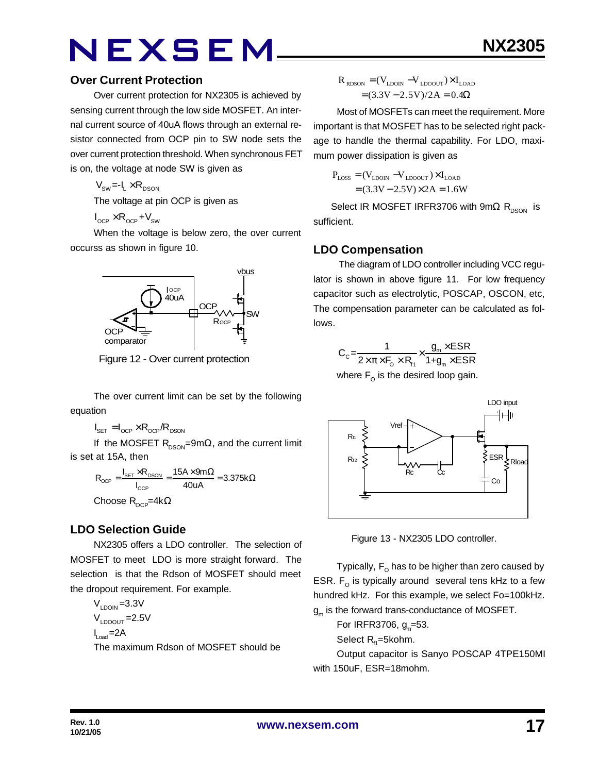#### **Over Current Protection**

Over current protection for NX2305 is achieved by sensing current through the low side MOSFET. An internal current source of 40uA flows through an external resistor connected from OCP pin to SW node sets the over current protection threshold. When synchronous FET is on, the voltage at node SW is given as

 $V_{SW} = -I_1 \times R_{DSON}$ 

The voltage at pin OCP is given as

 $I_{\text{OCP}} \times R_{\text{OCP}} + V_{\text{SW}}$ 

When the voltage is below zero, the over current occurss as shown in figure 10.



Figure 12 - Over current protection

The over current limit can be set by the following equation

 $I_{\text{SET}} = I_{\text{OCP}} \times R_{\text{OCP}} / R_{\text{DSON}}$ 

If the MOSFET  $R_{DSON} = 9m\Omega$ , and the current limit is set at 15A, then

$$
R_{\text{OCP}} = \frac{I_{\text{SET}} \times R_{\text{DSON}}}{I_{\text{OCP}}} = \frac{15A \times 9m\Omega}{40uA} = 3.375k\Omega
$$

Choose  $R_{OCP}$ =4k $\Omega$ 

### **LDO Selection Guide**

NX2305 offers a LDO controller. The selection of MOSFET to meet LDO is more straight forward. The selection is that the Rdson of MOSFET should meet the dropout requirement. For example.

 $V_{LDOIN} = 3.3V$  $V_{\text{LOOUT}}$  = 2.5V  $I_{\text{Load}} = 2A$ The maximum Rdson of MOSFET should be

$$
\begin{aligned} \boldsymbol{R}_{\text{RDSON}} &= (\boldsymbol{V}_{\text{LDON}} - \boldsymbol{V}_{\text{LDOUT}}) \times \boldsymbol{I}_{\text{LOAD}} \\ &= (3.3\boldsymbol{V} - 2.5\boldsymbol{V}) / 2\boldsymbol{A} = 0.4\boldsymbol{\Omega} \end{aligned}
$$

Most of MOSFETs can meet the requirement. More important is that MOSFET has to be selected right package to handle the thermal capability. For LDO, maximum power dissipation is given as

$$
P_{\text{LOSS}} = (V_{\text{LDON}} - V_{\text{LDOOUT}}) \times I_{\text{LOAD}}
$$

$$
= (3.3V - 2.5V) \times 2A = 1.6W
$$

Select IR MOSFET IRFR3706 with 9m $\Omega$  R<sub>DSON</sub> is sufficient.

### **LDO Compensation**

 The diagram of LDO controller including VCC regulator is shown in above figure 11. For low frequency capacitor such as electrolytic, POSCAP, OSCON, etc, The compensation parameter can be calculated as follows.

$$
C_{c} = \frac{1}{2 \times \pi \times F_{o} \times R_{H}} \times \frac{g_{m} \times ESR}{1 + g_{m} \times ESR}
$$

where  $\mathsf{F}_\mathsf{O}$  is the desired loop gain.



Figure 13 - NX2305 LDO controller.

Typically,  $\mathsf{F}_\mathsf{O}$  has to be higher than zero caused by ESR.  $F_{\text{o}}$  is typically around several tens kHz to a few hundred kHz. For this example, we select Fo=100kHz.  $\boldsymbol{\mathsf{g}}_\mathsf{m}$  is the forward trans-conductance of MOSFET.

For IRFR3706, g<sub>m</sub>=53.

Select  $R_{H}$ =5kohm.

Output capacitor is Sanyo POSCAP 4TPE150MI with 150uF, ESR=18mohm.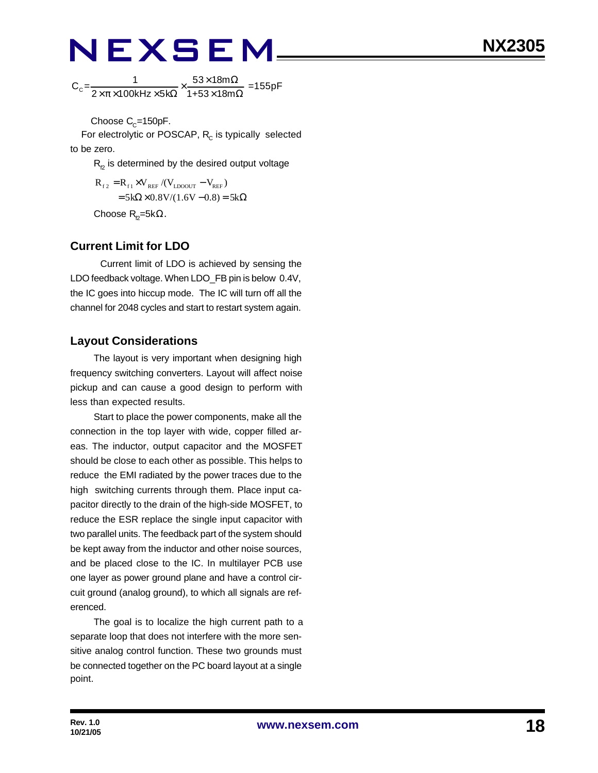$C_c = \frac{1}{2(1.53 \times 180^{14} \text{ J} \cdot \text{s})^2} \times \frac{53 \times 1800 \Omega}{4.153 \times 180^{10} \Omega} = 155 \text{pF}$  $2\times\pi\times 100$ kHz $\times$ 5k $\Omega$  1+53 $\times$ 18m  $\times \frac{53\times18m\Omega}{\sqrt{25}}$  $\times\pi\times$ 100kHz $\times$ 5k $\Omega$  1+53 $\times$ 18m $\Omega$ 

Choose C $_{\rm C}$ =150pF.

For electrolytic or POSCAP,  $R_c$  is typically selected to be zero.

 $R<sub>p</sub>$  is determined by the desired output voltage

 $R_{f2} = R_{f1} \times V_{REF} / (V_{LDOOUT} - V_{REF})$  $= 5k\Omega \times 0.8V/(1.6V - 0.8) = 5k\Omega$ Choose  $R_{p}$ =5k $\Omega$ .

### **Current Limit for LDO**

Current limit of LDO is achieved by sensing the LDO feedback voltage. When LDO\_FB pin is below 0.4V, the IC goes into hiccup mode. The IC will turn off all the channel for 2048 cycles and start to restart system again.

### **Layout Considerations**

The layout is very important when designing high frequency switching converters. Layout will affect noise pickup and can cause a good design to perform with less than expected results.

Start to place the power components, make all the connection in the top layer with wide, copper filled areas. The inductor, output capacitor and the MOSFET should be close to each other as possible. This helps to reduce the EMI radiated by the power traces due to the high switching currents through them. Place input capacitor directly to the drain of the high-side MOSFET, to reduce the ESR replace the single input capacitor with two parallel units. The feedback part of the system should be kept away from the inductor and other noise sources, and be placed close to the IC. In multilayer PCB use one layer as power ground plane and have a control circuit ground (analog ground), to which all signals are referenced.

The goal is to localize the high current path to a separate loop that does not interfere with the more sensitive analog control function. These two grounds must be connected together on the PC board layout at a single point.